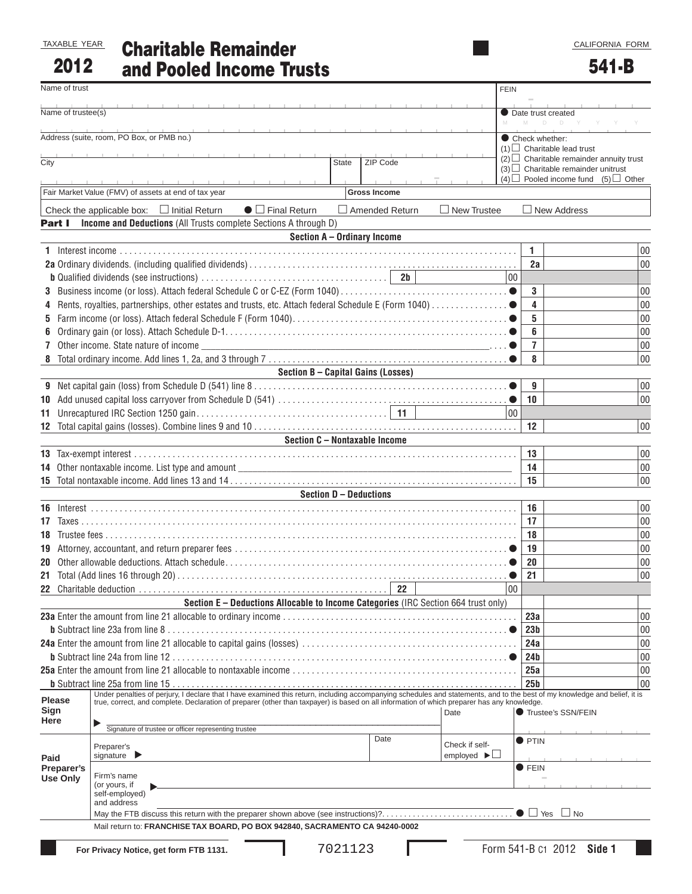CALIFORNIA FORM

| TAXABLE YEAR |  |
|--------------|--|
| 2012         |  |

# Charitable Remainder and Pooled Income Trusts

| Name of trust      |                                                                                                                                                                                                                                                                                                                           |                                    | <b>FEIN</b>                    |                                                                             |          |
|--------------------|---------------------------------------------------------------------------------------------------------------------------------------------------------------------------------------------------------------------------------------------------------------------------------------------------------------------------|------------------------------------|--------------------------------|-----------------------------------------------------------------------------|----------|
| Name of trustee(s) |                                                                                                                                                                                                                                                                                                                           |                                    |                                | Date trust created                                                          |          |
|                    | Address (suite, room, PO Box, or PMB no.)                                                                                                                                                                                                                                                                                 |                                    |                                | M<br>D D Y Y Y                                                              |          |
|                    |                                                                                                                                                                                                                                                                                                                           |                                    |                                | Check whether:<br>$(1)$ Charitable lead trust                               |          |
| City               |                                                                                                                                                                                                                                                                                                                           | <b>State</b><br>ZIP Code           |                                | $(2)$ Charitable remainder annuity trust                                    |          |
|                    |                                                                                                                                                                                                                                                                                                                           |                                    |                                | $(3)$ Charitable remainder unitrust<br>$(4)$ Pooled income fund $(5)$ Other |          |
|                    | Fair Market Value (FMV) of assets at end of tax year                                                                                                                                                                                                                                                                      | <b>Gross Income</b>                |                                |                                                                             |          |
|                    | Check the applicable box: $\Box$ Initial Return<br>$\bullet$ $\Box$ Final Return                                                                                                                                                                                                                                          | □ Amended Return                   | $\Box$ New Trustee             | $\Box$ New Address                                                          |          |
| Part I             | Income and Deductions (All Trusts complete Sections A through D)                                                                                                                                                                                                                                                          |                                    |                                |                                                                             |          |
|                    |                                                                                                                                                                                                                                                                                                                           | Section A - Ordinary Income        |                                |                                                                             |          |
|                    |                                                                                                                                                                                                                                                                                                                           |                                    |                                | 1.                                                                          | 00       |
|                    |                                                                                                                                                                                                                                                                                                                           |                                    |                                | 2a                                                                          | 00       |
|                    |                                                                                                                                                                                                                                                                                                                           |                                    | 00                             |                                                                             |          |
| 3                  |                                                                                                                                                                                                                                                                                                                           |                                    |                                | 3                                                                           | 00       |
|                    |                                                                                                                                                                                                                                                                                                                           |                                    |                                | 4                                                                           | 00       |
| 5                  |                                                                                                                                                                                                                                                                                                                           |                                    |                                | 5                                                                           | 00       |
| 6                  |                                                                                                                                                                                                                                                                                                                           |                                    |                                | 6                                                                           | 00       |
|                    | 7 Other income. State nature of income                                                                                                                                                                                                                                                                                    |                                    |                                | $\overline{7}$                                                              | 00       |
|                    |                                                                                                                                                                                                                                                                                                                           |                                    |                                | 8                                                                           | 00       |
|                    |                                                                                                                                                                                                                                                                                                                           | Section B - Capital Gains (Losses) |                                |                                                                             |          |
|                    |                                                                                                                                                                                                                                                                                                                           |                                    |                                | 9                                                                           | 00       |
|                    |                                                                                                                                                                                                                                                                                                                           |                                    |                                | 10                                                                          | 00       |
|                    |                                                                                                                                                                                                                                                                                                                           |                                    | 00                             |                                                                             |          |
|                    |                                                                                                                                                                                                                                                                                                                           |                                    |                                | 12                                                                          | 00       |
|                    |                                                                                                                                                                                                                                                                                                                           | Section C - Nontaxable Income      |                                |                                                                             |          |
|                    |                                                                                                                                                                                                                                                                                                                           |                                    |                                | 13<br>14                                                                    | 00       |
|                    |                                                                                                                                                                                                                                                                                                                           |                                    |                                |                                                                             | 00       |
|                    |                                                                                                                                                                                                                                                                                                                           |                                    |                                | 15                                                                          | 00       |
|                    |                                                                                                                                                                                                                                                                                                                           | Section D - Deductions             |                                |                                                                             |          |
|                    |                                                                                                                                                                                                                                                                                                                           |                                    |                                | 16<br>17                                                                    | 00       |
|                    |                                                                                                                                                                                                                                                                                                                           |                                    |                                | 18                                                                          | 00<br>00 |
|                    |                                                                                                                                                                                                                                                                                                                           |                                    |                                | 19                                                                          | 00       |
|                    |                                                                                                                                                                                                                                                                                                                           |                                    |                                | 20                                                                          | 00       |
|                    |                                                                                                                                                                                                                                                                                                                           |                                    |                                | 21                                                                          | 00       |
|                    |                                                                                                                                                                                                                                                                                                                           | 22                                 | 00                             |                                                                             |          |
|                    | Section E - Deductions Allocable to Income Categories (IRC Section 664 trust only)                                                                                                                                                                                                                                        |                                    |                                |                                                                             |          |
|                    |                                                                                                                                                                                                                                                                                                                           |                                    |                                | 23a                                                                         | 00       |
|                    |                                                                                                                                                                                                                                                                                                                           |                                    |                                | 23 <sub>b</sub>                                                             | 00       |
|                    |                                                                                                                                                                                                                                                                                                                           |                                    |                                | 24a                                                                         | 00       |
|                    |                                                                                                                                                                                                                                                                                                                           |                                    |                                | 24 <sub>b</sub>                                                             | 00       |
|                    |                                                                                                                                                                                                                                                                                                                           |                                    |                                | 25a                                                                         | 00       |
|                    |                                                                                                                                                                                                                                                                                                                           |                                    |                                | 25 <sub>b</sub>                                                             | 00       |
| <b>Please</b>      | Under penalties of perjury, I declare that I have examined this return, including accompanying schedules and statements, and to the best of my knowledge and belief, it is<br>true, correct, and complete. Declaration of preparer (other than taxpayer) is based on all information of which preparer has any knowledge. |                                    |                                |                                                                             |          |
| Sign               |                                                                                                                                                                                                                                                                                                                           |                                    | Date                           | Trustee's SSN/FEIN                                                          |          |
| Here               | Signature of trustee or officer representing trustee                                                                                                                                                                                                                                                                      |                                    |                                |                                                                             |          |
|                    | Preparer's                                                                                                                                                                                                                                                                                                                | Date                               | Check if self-                 | <b>O</b> PTIN                                                               |          |
| Paid               | signature $\blacktriangleright$                                                                                                                                                                                                                                                                                           |                                    | employed $\blacktriangleright$ |                                                                             |          |
| Preparer's         |                                                                                                                                                                                                                                                                                                                           |                                    |                                | <b>OFEIN</b>                                                                |          |
| <b>Use Only</b>    | Firm's name<br>(or yours, if                                                                                                                                                                                                                                                                                              |                                    |                                |                                                                             |          |
|                    | self-employed)<br>and address                                                                                                                                                                                                                                                                                             |                                    |                                |                                                                             |          |
|                    |                                                                                                                                                                                                                                                                                                                           |                                    |                                | $\Box$ No                                                                   |          |
|                    | Mail return to: FRANCHISE TAX BOARD, PO BOX 942840, SACRAMENTO CA 94240-0002                                                                                                                                                                                                                                              |                                    |                                |                                                                             |          |
|                    |                                                                                                                                                                                                                                                                                                                           |                                    |                                |                                                                             |          |
|                    | For Privacy Notice, get form FTB 1131.                                                                                                                                                                                                                                                                                    | 7021123                            |                                | Form 541-B c1 2012 Side 1                                                   |          |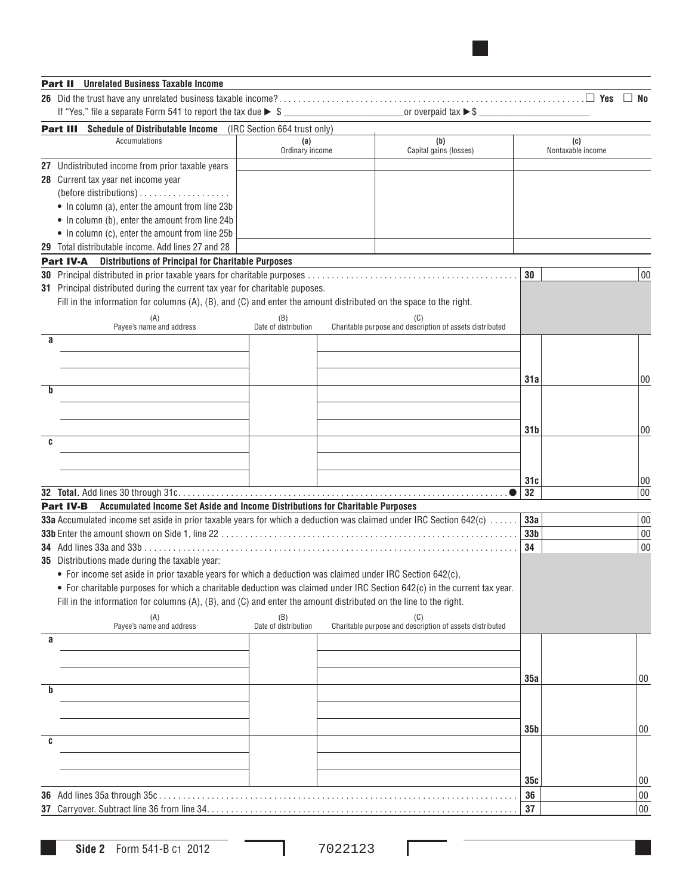## Part II **Unrelated Business Taxable Income**

|                                                                                                                           |                             |                                                                 |                 | $\Box$ No         |
|---------------------------------------------------------------------------------------------------------------------------|-----------------------------|-----------------------------------------------------------------|-----------------|-------------------|
| If "Yes," file a separate Form 541 to report the tax due $\triangleright$ \$                                              |                             |                                                                 |                 |                   |
| <b>Part III</b> Schedule of Distributable Income (IRC Section 664 trust only)                                             |                             |                                                                 |                 |                   |
| Accumulations                                                                                                             | (a)                         | (b)                                                             |                 | (c)               |
|                                                                                                                           | Ordinary income             | Capital gains (losses)                                          |                 | Nontaxable income |
| 27 Undistributed income from prior taxable years                                                                          |                             |                                                                 |                 |                   |
| 28 Current tax year net income year                                                                                       |                             |                                                                 |                 |                   |
|                                                                                                                           |                             |                                                                 |                 |                   |
| • In column (a), enter the amount from line 23b                                                                           |                             |                                                                 |                 |                   |
| • In column (b), enter the amount from line 24b                                                                           |                             |                                                                 |                 |                   |
| • In column (c), enter the amount from line 25b                                                                           |                             |                                                                 |                 |                   |
| 29 Total distributable income. Add lines 27 and 28                                                                        |                             |                                                                 |                 |                   |
| <b>Part IV-A</b> Distributions of Principal for Charitable Purposes                                                       |                             |                                                                 |                 |                   |
|                                                                                                                           |                             |                                                                 | 30              | 00                |
| 31 Principal distributed during the current tax year for charitable puposes.                                              |                             |                                                                 |                 |                   |
| Fill in the information for columns $(A)$ , $(B)$ , and $(C)$ and enter the amount distributed on the space to the right. |                             |                                                                 |                 |                   |
| (A)<br>Payee's name and address                                                                                           | (B)<br>Date of distribution | (C)<br>Charitable purpose and description of assets distributed |                 |                   |
| a                                                                                                                         |                             |                                                                 |                 |                   |
|                                                                                                                           |                             |                                                                 |                 |                   |
|                                                                                                                           |                             |                                                                 |                 |                   |
|                                                                                                                           |                             |                                                                 | 31a             | 00                |
| h                                                                                                                         |                             |                                                                 |                 |                   |
|                                                                                                                           |                             |                                                                 |                 |                   |
|                                                                                                                           |                             |                                                                 |                 |                   |
|                                                                                                                           |                             |                                                                 | 31 b            | 00                |
| C                                                                                                                         |                             |                                                                 |                 |                   |
|                                                                                                                           |                             |                                                                 |                 |                   |
|                                                                                                                           |                             |                                                                 |                 |                   |
|                                                                                                                           |                             |                                                                 | 31c             | 00                |
|                                                                                                                           |                             |                                                                 | 32              | 00                |
| Part IV-B Accumulated Income Set Aside and Income Distributions for Charitable Purposes                                   |                             |                                                                 |                 |                   |
| 33a Accumulated income set aside in prior taxable years for which a deduction was claimed under IRC Section 642(c)        |                             |                                                                 | 33a             | 00                |
|                                                                                                                           |                             |                                                                 | 33 <sub>b</sub> | 00                |
|                                                                                                                           |                             |                                                                 | 34              | 00                |
| 35 Distributions made during the taxable year:                                                                            |                             |                                                                 |                 |                   |
| • For income set aside in prior taxable years for which a deduction was claimed under IRC Section 642(c),                 |                             |                                                                 |                 |                   |
| • For charitable purposes for which a charitable deduction was claimed under IRC Section 642(c) in the current tax year.  |                             |                                                                 |                 |                   |
| Fill in the information for columns $(A)$ , $(B)$ , and $(C)$ and enter the amount distributed on the line to the right.  |                             |                                                                 |                 |                   |
|                                                                                                                           | (B)<br>Date of distribution |                                                                 |                 |                   |
| (A)<br>Payee's name and address                                                                                           |                             | Charitable purpose and description of assets distributed        |                 |                   |
| a                                                                                                                         |                             |                                                                 |                 |                   |
|                                                                                                                           |                             |                                                                 |                 |                   |
|                                                                                                                           |                             |                                                                 |                 |                   |
|                                                                                                                           |                             |                                                                 | 35a             | 00                |
| b                                                                                                                         |                             |                                                                 |                 |                   |
|                                                                                                                           |                             |                                                                 |                 |                   |
|                                                                                                                           |                             |                                                                 |                 |                   |
| C                                                                                                                         |                             |                                                                 | 35 <sub>b</sub> | 00                |
|                                                                                                                           |                             |                                                                 |                 |                   |
|                                                                                                                           |                             |                                                                 |                 |                   |
|                                                                                                                           |                             |                                                                 | 35c             | 00                |
|                                                                                                                           |                             |                                                                 | 36              | $00\,$            |
|                                                                                                                           |                             |                                                                 |                 |                   |
|                                                                                                                           |                             |                                                                 | 37              | $00\,$            |

Г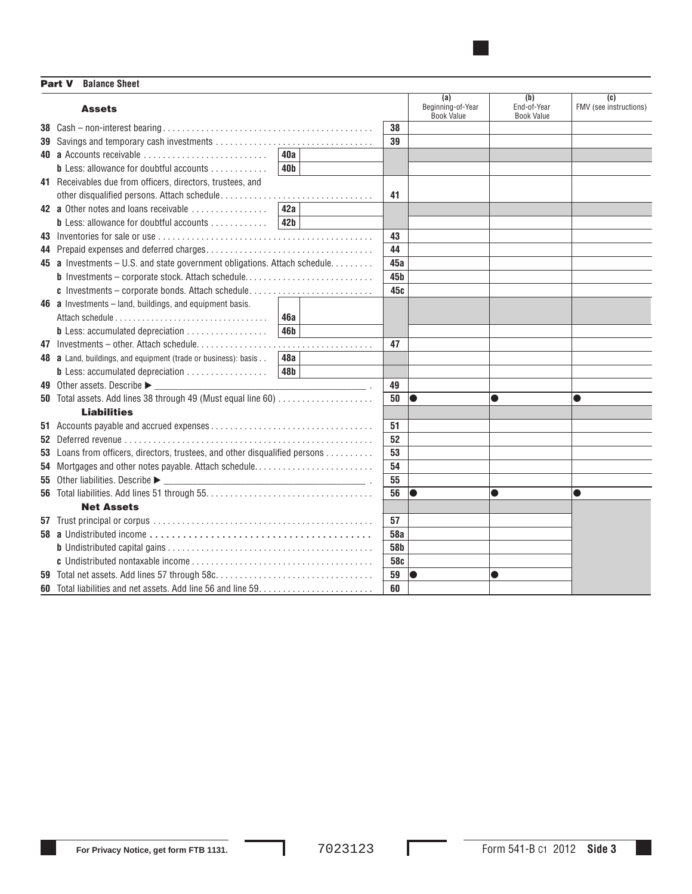Part V **Balance Sheet**

|    | <b>Assets</b>                                                               |                 |                 | (a)<br>Beginning-of-Year | (b)<br>End-of-Year | (c)<br>FMV (see instructions) |
|----|-----------------------------------------------------------------------------|-----------------|-----------------|--------------------------|--------------------|-------------------------------|
|    |                                                                             |                 | 38              | <b>Book Value</b>        | <b>Book Value</b>  |                               |
|    |                                                                             |                 | 39              |                          |                    |                               |
|    | 40 a Accounts receivable                                                    | 40a             |                 |                          |                    |                               |
|    | <b>b</b> Less: allowance for doubtful accounts                              | 40 <sub>b</sub> |                 |                          |                    |                               |
|    | 41 Receivables due from officers, directors, trustees, and                  |                 |                 |                          |                    |                               |
|    |                                                                             |                 | 41              |                          |                    |                               |
|    | 42 a Other notes and loans receivable                                       | 42a             |                 |                          |                    |                               |
|    | <b>b</b> Less: allowance for doubtful accounts                              | 42 <b>b</b>     |                 |                          |                    |                               |
|    |                                                                             |                 | 43              |                          |                    |                               |
|    |                                                                             |                 | 44              |                          |                    |                               |
|    | 45 a Investments - U.S. and state government obligations. Attach schedule.  |                 | 45a             |                          |                    |                               |
|    | <b>b</b> Investments - corporate stock. Attach schedule                     |                 | 45 <sub>b</sub> |                          |                    |                               |
|    | c Investments - corporate bonds. Attach schedule                            |                 | 45c             |                          |                    |                               |
|    | <b>46 a</b> Investments $-$ land, buildings, and equipment basis.           |                 |                 |                          |                    |                               |
|    |                                                                             | 46a             |                 |                          |                    |                               |
|    | <b>b</b> Less: accumulated depreciation                                     | 46 <b>b</b>     |                 |                          |                    |                               |
|    |                                                                             |                 | 47              |                          |                    |                               |
|    | 48 a Land, buildings, and equipment (trade or business): basis              | 48a             |                 |                          |                    |                               |
|    | <b>b</b> Less: accumulated depreciation                                     | 48b             |                 |                          |                    |                               |
|    | 49 Other assets. Describe ►                                                 |                 | 49              |                          |                    |                               |
|    | 50 Total assets. Add lines 38 through 49 (Must equal line 60)               |                 | 50              | $\bullet$                | $\bullet$          | $\bullet$                     |
|    | <b>Liabilities</b>                                                          |                 |                 |                          |                    |                               |
|    |                                                                             |                 | 51              |                          |                    |                               |
|    |                                                                             |                 | 52              |                          |                    |                               |
|    | 53 Loans from officers, directors, trustees, and other disqualified persons |                 | 53              |                          |                    |                               |
|    | 54 Mortgages and other notes payable. Attach schedule                       |                 | 54              |                          |                    |                               |
| 55 |                                                                             |                 | 55              |                          |                    |                               |
|    |                                                                             |                 | 56              | $\bullet$                | $\bullet$          | $\bullet$                     |
|    | <b>Net Assets</b>                                                           |                 |                 |                          |                    |                               |
|    |                                                                             |                 | 57              |                          |                    |                               |
|    |                                                                             |                 | 58a             |                          |                    |                               |
|    |                                                                             |                 | 58b             |                          |                    |                               |
|    |                                                                             |                 | 58c             |                          |                    |                               |
|    |                                                                             |                 | 59              |                          |                    |                               |
|    |                                                                             |                 | 60              |                          |                    |                               |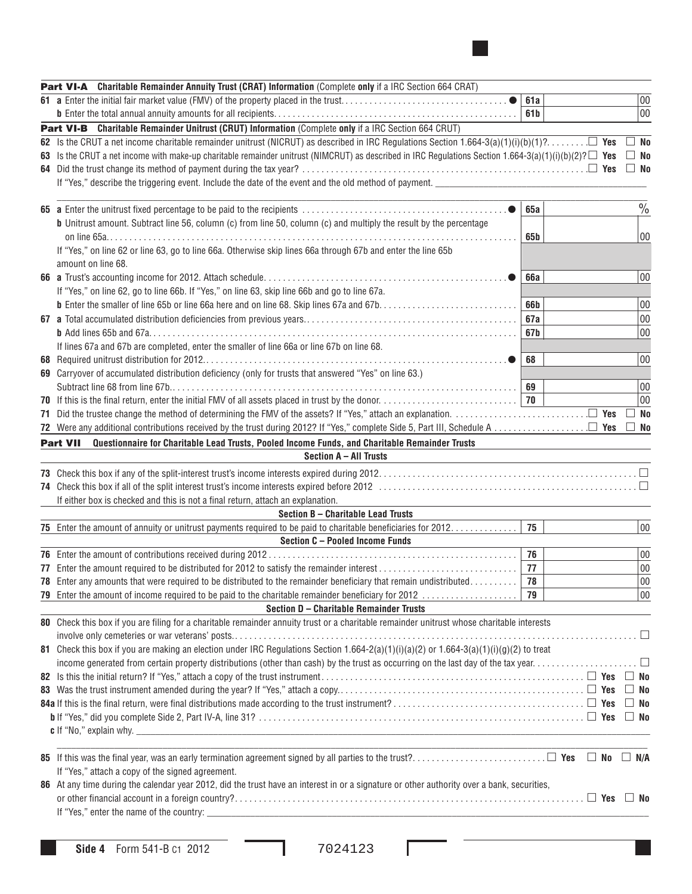| Part VI-A Charitable Remainder Annuity Trust (CRAT) Information (Complete only if a IRC Section 664 CRAT)                                                                                                                     |             |  |               |
|-------------------------------------------------------------------------------------------------------------------------------------------------------------------------------------------------------------------------------|-------------|--|---------------|
| 61 a Enter the initial fair market value (FMV) of the property placed in the trust                                                                                                                                            | 61a         |  | 00            |
|                                                                                                                                                                                                                               | 61b         |  | 00            |
| Part VI-B Charitable Remainder Unitrust (CRUT) Information (Complete only if a IRC Section 664 CRUT)                                                                                                                          |             |  |               |
| 62 Is the CRUT a net income charitable remainder unitrust (NICRUT) as described in IRC Regulations Section 1.664-3(a)(1)(i)(b)(1)? <b>E</b>                                                                                   |             |  | $\Box$ No     |
| 63 Is the CRUT a net income with make-up charitable remainder unitrust (NIMCRUT) as described in IRC Regulations Section 1.664-3(a)(1)(i)(b)(2)? $\square$ Yes                                                                |             |  | $\Box$ No     |
|                                                                                                                                                                                                                               |             |  | $\Box$ No     |
| If "Yes," describe the triggering event. Include the date of the event and the old method of payment.                                                                                                                         |             |  |               |
|                                                                                                                                                                                                                               |             |  |               |
|                                                                                                                                                                                                                               | 65a         |  | $\frac{0}{0}$ |
| <b>b</b> Unitrust amount. Subtract line 56, column (c) from line 50, column (c) and multiply the result by the percentage                                                                                                     |             |  |               |
|                                                                                                                                                                                                                               | 65b         |  | 00            |
| If "Yes," on line 62 or line 63, go to line 66a. Otherwise skip lines 66a through 67b and enter the line 65b                                                                                                                  |             |  |               |
| amount on line 68.                                                                                                                                                                                                            |             |  |               |
|                                                                                                                                                                                                                               | <b>66a</b>  |  | 00            |
| If "Yes," on line 62, go to line 66b. If "Yes," on line 63, skip line 66b and go to line 67a.                                                                                                                                 |             |  |               |
|                                                                                                                                                                                                                               | 66 <b>b</b> |  | 00            |
|                                                                                                                                                                                                                               | 67a         |  | 00            |
|                                                                                                                                                                                                                               | 67b         |  | 00            |
| If lines 67a and 67b are completed, enter the smaller of line 66a or line 67b on line 68.                                                                                                                                     |             |  |               |
|                                                                                                                                                                                                                               | 68          |  | 00            |
| 69 Carryover of accumulated distribution deficiency (only for trusts that answered "Yes" on line 63.)                                                                                                                         |             |  |               |
|                                                                                                                                                                                                                               | 69          |  | 00            |
|                                                                                                                                                                                                                               |             |  | 00            |
|                                                                                                                                                                                                                               |             |  | $\square$ No  |
|                                                                                                                                                                                                                               |             |  | $\Box$ No     |
| Questionnaire for Charitable Lead Trusts, Pooled Income Funds, and Charitable Remainder Trusts<br><b>Part VII</b>                                                                                                             |             |  |               |
| Section A - All Trusts                                                                                                                                                                                                        |             |  |               |
|                                                                                                                                                                                                                               |             |  |               |
|                                                                                                                                                                                                                               |             |  |               |
| If either box is checked and this is not a final return, attach an explanation.                                                                                                                                               |             |  |               |
| Section B - Charitable Lead Trusts                                                                                                                                                                                            |             |  |               |
| 75 Enter the amount of annuity or unitrust payments required to be paid to charitable beneficiaries for 2012.                                                                                                                 | 75          |  | 00            |
| Section C - Pooled Income Funds                                                                                                                                                                                               |             |  |               |
|                                                                                                                                                                                                                               | 76          |  | 00            |
|                                                                                                                                                                                                                               | 77          |  | 00<br>00      |
| <b>78</b> Enter any amounts that were required to be distributed to the remainder beneficiary that remain undistributed<br>79 Enter the amount of income required to be paid to the charitable remainder beneficiary for 2012 | 78<br>79    |  | 00            |
| Section D - Charitable Remainder Trusts                                                                                                                                                                                       |             |  |               |
| 80 Check this box if you are filing for a charitable remainder annuity trust or a charitable remainder unitrust whose charitable interests                                                                                    |             |  |               |
|                                                                                                                                                                                                                               |             |  |               |
| 81 Check this box if you are making an election under IRC Regulations Section $1.664-2(a)(1)(i)(a)(2)$ or $1.664-3(a)(1)(i)(g)(2)$ to treat                                                                                   |             |  |               |
|                                                                                                                                                                                                                               |             |  |               |
|                                                                                                                                                                                                                               |             |  |               |
|                                                                                                                                                                                                                               |             |  |               |
|                                                                                                                                                                                                                               |             |  |               |
|                                                                                                                                                                                                                               |             |  |               |
|                                                                                                                                                                                                                               |             |  |               |
|                                                                                                                                                                                                                               |             |  |               |
|                                                                                                                                                                                                                               |             |  |               |
| If "Yes," attach a copy of the signed agreement.                                                                                                                                                                              |             |  |               |
| 86 At any time during the calendar year 2012, did the trust have an interest in or a signature or other authority over a bank, securities,                                                                                    |             |  |               |
|                                                                                                                                                                                                                               |             |  |               |
|                                                                                                                                                                                                                               |             |  |               |
|                                                                                                                                                                                                                               |             |  |               |

Ш